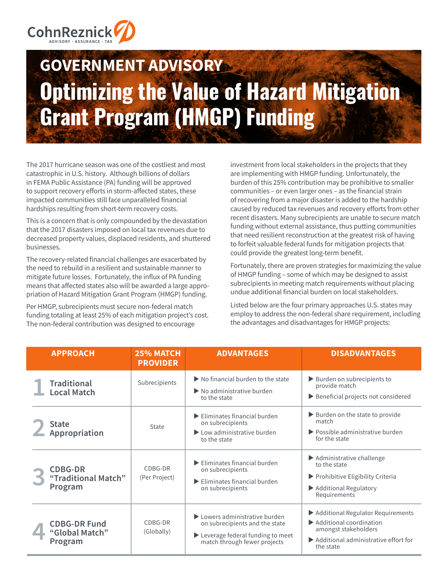

# **GOVERNMENT ADVISORY Optimizing the Value of Hazard Mitigation Grant Program (HMGP) Funding**

The 2017 hurricane season was one of the costliest and most catastrophic in U.S. history. Although billions of dollars in FEMA Public Assistance (PA) funding will be approved to support recovery efforts in storm-affected states, these impacted communities still face unparalleled financial hardships resulting from short-term recovery costs.

This is a concern that is only compounded by the devastation that the 2017 disasters imposed on local tax revenues due to decreased property values, displaced residents, and shuttered businesses.

The recovery-related financial challenges are exacerbated by the need to rebuild in a resilient and sustainable manner to mitigate future losses. Fortunately, the influx of PA funding means that affected states also will be awarded a large appropriation of Hazard Mitigation Grant Program (HMGP) funding.

Per HMGP, subrecipients must secure non-federal match funding totaling at least 25% of each mitigation project's cost. The non-federal contribution was designed to encourage

investment from local stakeholders in the projects that they are implementing with HMGP funding. Unfortunately, the burden of this 25% contribution may be prohibitive to smaller communities – or even larger ones – as the financial strain of recovering from a major disaster is added to the hardship caused by reduced tax revenues and recovery efforts from other recent disasters. Many subrecipients are unable to secure match funding without external assistance, thus putting communities that need resilient reconstruction at the greatest risk of having to forfeit valuable federal funds for mitigation projects that could provide the greatest long-term benefit.

Fortunately, there are proven strategies for maximizing the value of HMGP funding – some of which may be designed to assist subrecipients in meeting match requirements without placing undue additional financial burden on local stakeholders.

Listed below are the four primary approaches U.S. states may employ to address the non-federal share requirement, including the advantages and disadvantages for HMGP projects:

| <b>APPROACH</b>                                  | 25% MATCH<br><b>PROVIDER</b> | <b>ADVANTAGES</b>                                                                                                                              | <b>DISADVANTAGES</b>                                                                                                                                                                    |
|--------------------------------------------------|------------------------------|------------------------------------------------------------------------------------------------------------------------------------------------|-----------------------------------------------------------------------------------------------------------------------------------------------------------------------------------------|
| <b>Traditional</b><br><b>Local Match</b>         | Subrecipients                | $\triangleright$ No financial burden to the state<br>$\triangleright$ No administrative burden<br>to the state                                 | $\blacktriangleright$ Burden on subrecipients to<br>provide match<br>Beneficial projects not considered                                                                                 |
| <b>State</b><br>Appropriation                    | State                        | $\blacktriangleright$ Eliminates financial burden<br>on subrecipients<br>Low administrative burden<br>to the state                             | $\blacktriangleright$ Burden on the state to provide<br>match<br>▶ Possible administrative burden<br>for the state                                                                      |
| <b>CDBG-DR</b><br>"Traditional Match"<br>Program | CDBG-DR<br>(Per Project)     | $\blacktriangleright$ Eliminates financial burden<br>on subrecipients<br>$\blacktriangleright$ Eliminates financial burden<br>on subrecipients | $\blacktriangleright$ Administrative challenge<br>to the state<br>▶ Prohibitive Eligibility Criteria<br>Additional Regulatory<br>Requirements                                           |
| <b>CDBG-DR Fund</b><br>"Global Match"<br>Program | CDBG-DR<br>(Globally)        | Lowers administrative burden<br>on subrecipients and the state<br>Leverage federal funding to meet<br>match through fewer projects             | ▶ Additional Regulator Requirements<br>$\blacktriangleright$ Additional coordination<br>amongst stakeholders<br>$\blacktriangleright$ Additional administrative effort for<br>the state |